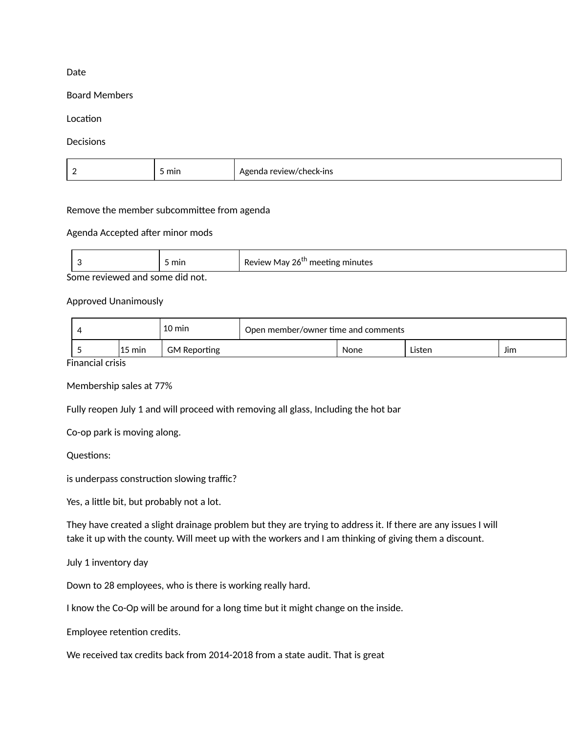### Date

#### Board Members

### Location

### **Decisions**

| $\overline{\phantom{0}}$ | min | :k−ıns<br>14.71.17.71.1<br>ו⇔ו<br>י ו∧וני |
|--------------------------|-----|-------------------------------------------|
|--------------------------|-----|-------------------------------------------|

### Remove the member subcommittee from agenda

# Agenda Accepted after minor mods

|        |  |  | mın |  | Review<br>meeting minutes<br>May 26<br>ັ |
|--------|--|--|-----|--|------------------------------------------|
| $\sim$ |  |  |     |  |                                          |

Some reviewed and some did not.

# Approved Unanimously

|                  | 10 min              | Open member/owner time and comments |      |        |     |  |
|------------------|---------------------|-------------------------------------|------|--------|-----|--|
| $15 \text{ min}$ | <b>GM Reporting</b> |                                     | None | Listen | Jim |  |

Financial crisis

Membership sales at 77%

Fully reopen July 1 and will proceed with removing all glass, Including the hot bar

Co-op park is moving along.

Questions:

is underpass construction slowing traffic?

Yes, a little bit, but probably not a lot.

They have created a slight drainage problem but they are trying to address it. If there are any issues I will take it up with the county. Will meet up with the workers and I am thinking of giving them a discount.

July 1 inventory day

Down to 28 employees, who is there is working really hard.

I know the Co-Op will be around for a long time but it might change on the inside.

Employee retention credits.

We received tax credits back from 2014-2018 from a state audit. That is great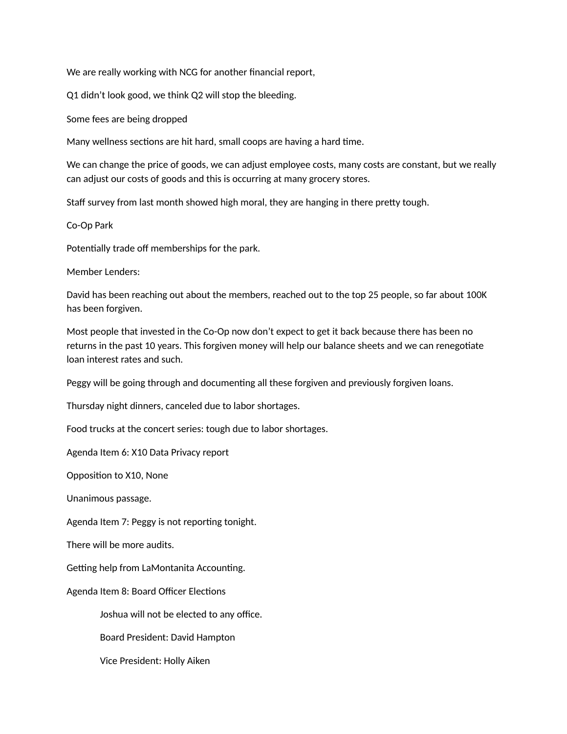We are really working with NCG for another financial report,

Q1 didn't look good, we think Q2 will stop the bleeding.

Some fees are being dropped

Many wellness sections are hit hard, small coops are having a hard time.

We can change the price of goods, we can adjust employee costs, many costs are constant, but we really can adjust our costs of goods and this is occurring at many grocery stores.

Staff survey from last month showed high moral, they are hanging in there pretty tough.

Co-Op Park

Potentially trade off memberships for the park.

Member Lenders:

David has been reaching out about the members, reached out to the top 25 people, so far about 100K has been forgiven.

Most people that invested in the Co-Op now don't expect to get it back because there has been no returns in the past 10 years. This forgiven money will help our balance sheets and we can renegotiate loan interest rates and such.

Peggy will be going through and documenting all these forgiven and previously forgiven loans.

Thursday night dinners, canceled due to labor shortages.

Food trucks at the concert series: tough due to labor shortages.

Agenda Item 6: X10 Data Privacy report

Opposition to X10, None

Unanimous passage.

Agenda Item 7: Peggy is not reporting tonight.

There will be more audits.

Getting help from LaMontanita Accounting.

Agenda Item 8: Board Officer Elections

Joshua will not be elected to any office.

Board President: David Hampton

Vice President: Holly Aiken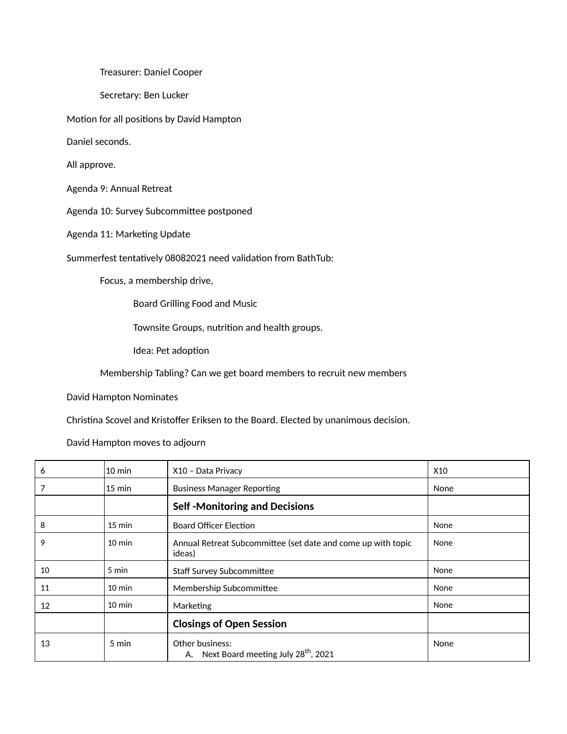Treasurer: Daniel Cooper

Secretary: Ben Lucker

Motion for all positions by David Hampton

Daniel seconds.

All approve.

Agenda 9: Annual Retreat

Agenda 10: Survey Subcommittee postponed

Agenda 11: Marketing Update

Summerfest tentatively 08082021 need validation from BathTub:

Focus, a membership drive,

Board Grilling Food and Music

Townsite Groups, nutrition and health groups.

Idea: Pet adoption

Membership Tabling? Can we get board members to recruit new members

David Hampton Nominates

Christina Scovel and Kristoffer Eriksen to the Board. Elected by unanimous decision.

David Hampton moves to adjourn

| 6  | $10 \text{ min}$ | X10 - Data Privacy                                                     | X <sub>10</sub> |
|----|------------------|------------------------------------------------------------------------|-----------------|
| 7  | $15 \text{ min}$ | <b>Business Manager Reporting</b>                                      | None            |
|    |                  | <b>Self-Monitoring and Decisions</b>                                   |                 |
| 8  | $15 \text{ min}$ | <b>Board Officer Election</b>                                          | None            |
| 9  | $10 \text{ min}$ | Annual Retreat Subcommittee (set date and come up with topic<br>ideas) | None            |
| 10 | 5 min            | <b>Staff Survey Subcommittee</b>                                       | None            |
| 11 | $10 \text{ min}$ | Membership Subcommittee                                                | None            |
| 12 | $10 \text{ min}$ | Marketing                                                              | None            |
|    |                  | <b>Closings of Open Session</b>                                        |                 |
| 13 | 5 min            | Other business:<br>A. Next Board meeting July 28 <sup>th</sup> , 2021  | None            |